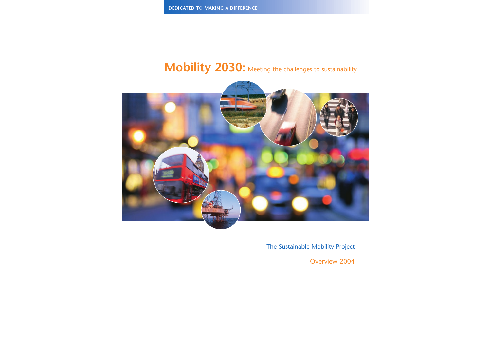# **Mobility 2030:** Meeting the challenges to sustainability



The Sustainable Mobility Project

Overview 2004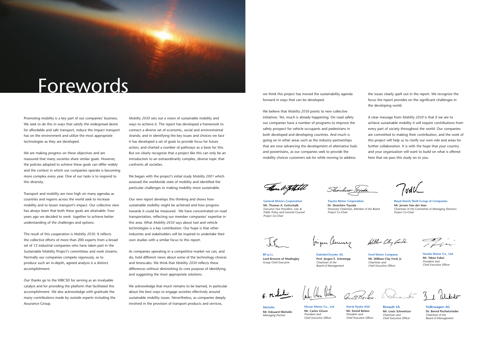# Forewords

Promoting mobility is a key part of our companies' business. We seek to do this in ways that satisfy the widespread desire for affordable and safe transport, reduce the impact transport has on the environment and utilize the most appropriate technologies as they are developed.

We are making progress on these objectives and are reassured that many societies share similar goals. However, the policies adopted to achieve these goals can differ widely and the context in which our companies operate is becoming more complex every year. One of our tasks is to respond to this diversity.

Transport and mobility are now high on many agendas as countries and regions across the world seek to increase mobility and to lessen transport's impact. Our collective view has always been that both these goals are attainable. Four years ago we decided to work together to achieve better understanding of the challenges and options.

The result of this cooperation is *Mobility 2030*. It reflects the collective efforts of more than 200 experts from a broad set of 12 industrial companies who have taken part in the Sustainable Mobility Project's committees and work streams. Normally our companies compete vigorously, so to produce such an in-depth, agreed analysis is a distinct accomplishment.

Our thanks go to the WBCSD for serving as an invaluable catalyst and for providing the platform that facilitated this accomplishment. We also acknowledge with gratitude the many contributions made by outside experts including the Assurance Group.

*Mobility 2030* sets out a vision of sustainable mobility and ways to achieve it. The report has developed a framework to connect a diverse set of economic, social and environmental strands; and in identifying the key issues and choices we face it has developed a set of goals to provide focus for future action, and charted a number of pathways as a basis for this. But we clearly recognize that a project like this can only be an introduction to an extraordinarily complex, diverse topic that confronts all societies.

We began with the project's initial study *Mobility 2001* which assessed the worldwide state of mobility and identified the particular challenges to making mobility more sustainable.

Our new report develops this thinking and shows how sustainable mobility might be achieved and how progress towards it could be measured. We have concentrated on road transportation, reflecting our member companies' expertise in this area. What *Mobility 2030* says about fuel and vehicle technologies is a key contribution. Our hope is that other industries and stakeholders will be inspired to undertake their own studies with a similar focus to this report.

As companies operating in a competitive market we can, and do, hold different views about some of the technology choices and timescales. We think that *Mobility 2030* reflects these differences without diminishing its core purpose of identifying and suggesting the most appropriate solutions.

We acknowledge that much remains to be learned, in particular about the best ways to engage societies effectively around sustainable mobility issues. Nevertheless, as companies deeply involved in the provision of transport products and services,

we think this project has moved the sustainability agenda forward in ways that can be developed.

We believe that *Mobility 2030* points to new collective initiatives. Yet, much is already happening. On road safety our companies have a number of programs to improve the safety prospect for vehicle occupants and pedestrians in both developed and developing countries. And much is going on in other areas such as the industry partnerships that are now advancing the development of alternative fuels and powertrains, as our companies seek to provide the mobility choices customers ask for while moving to address

Than a ythetil

the issues clearly spelt out in the report. We recognize the focus the report provides on the significant challenges in the developing world.

A clear message from *Mobility 2030* is that if we are to achieve sustainable mobility it will require contributions from every part of society throughout the world. Our companies are committed to making their contribution, and the work of this project will help us to clarify our own role and areas for further collaboration. It is with the hope that your country and your organization will want to build on what is offered here that we pass this study on to you.

TudU\_

**General Motors Corporation Mr. Thomas A. Gottschalk**  *Executive Vice President, Law & Public Policy and General Counsel Project Co-Chair*

Shochiso Yoyoda

**Toyota Motor Corporation Dr. Shoichiro Toyoda**  *Honorary Chairman, Member of the Board Project Co-Chair*

**Royal Dutch/Shell Group of Companies Mr. Jeroen Van der Veer**  *Chairman of the Committee of Managing Directors Project Co-Chair*



**BP p.l.c. Lord Browne of Madingley**  *Group Chief Executive*

Agu Bitan

**DaimlerChrysler AG Prof. Jürgen E. Schrempp** *Chairman of the Board of Management*

**Ford Motor Company Mr. William Clay Ford, Jr.**  *Chairman and Chief Executive Officer*

fingen Clemens Willer Cly Gall. Fli.

**Honda Motor Co., Ltd. Mr. Takeo Fukui**  *President and Chief Executive Officer*

Guidheilen John 3, Militar

**Michelin Mr. Edouard Michelin**  *Managing Partner*

**Nissan Motor Co., Ltd Mr. Carlos Ghosn**  *President and Chief Executive Officer*

**Norsk Hydro ASA Mr. Eivind Reiten**  *President and Chief Executive Officer*

**Renault SA Mr. Louis Schweitzer**  *Chairman and Chief Executive Officer*

**Volkswagen AG Dr. Bernd Pischetsrieder**  *Chairman of the Board of Management*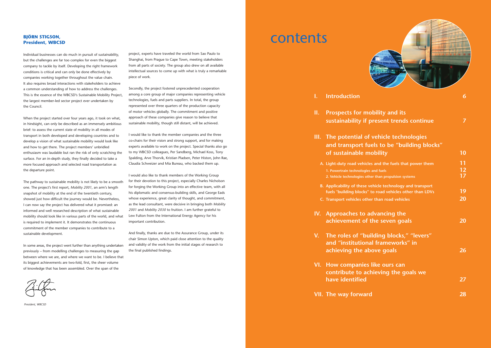## **BJÖRN STIGSON, President, WBCSD**

Individual businesses can do much in pursuit of sustainability, but the challenges are far too complex for even the biggest company to tackle by itself. Developing the right framework conditions is critical and can only be done effectively by companies working together throughout the value chain. It also requires broad interactions with stakeholders to achieve a common understanding of how to address the challenges. This is the essence of the WBCSD's Sustainable Mobility Project, the largest member-led sector project ever undertaken by the Council.

When the project started over four years ago, it took on what, in hindsight, can only be described as an immensely ambitious brief: to assess the current state of mobility in all modes of transport in both developed and developing countries and to develop a vision of what sustainable mobility would look like and how to get there. The project members' unbridled enthusiasm was laudable but ran the risk of only scratching the surface. For an in-depth study, they finally decided to take a more focused approach and selected road transportation as the departure point.

The pathway to sustainable mobility is not likely to be a smooth one. The project's first report, *Mobility 2001*, an arm's length snapshot of mobility at the end of the twentieth century, showed just how difficult the journey would be. Nevertheless, I can now say the project has delivered what it promised: an informed and well researched description of what sustainable mobility should look like in various parts of the world, and what is required to implement it. It demonstrates the continuous commitment of the member companies to contribute to a sustainable development.

In some areas, the project went further than anything undertaken previously – from modelling challenges to measuring the gap between where we are, and where we want to be. I believe that its biggest achievements are two-fold, first, the sheer volume of knowledge that has been assembled. Over the span of the

project, experts have traveled the world from Sao Paulo to Shanghai, from Prague to Cape Town, meeting stakeholders from all parts of society. The group also drew on all available intellectual sources to come up with what is truly a remarkable piece of work.

- **II.** Prospects for mo sustainability if p
- **III.** The potential of and transport fue **of sustainable mo** 
	- **A.** Light-duty road vehicles **1. Powertrain technologies 2. Vehicle technologies other than 17**
	- **B.** Applicability of these vehicle fuels "building blocks"
	- **C.** Transport vehicles othe
- **IV.** Approaches to ad **achievement of the set**
- **V.** The roles of "building and "institutional **achieving the ab**
- **VI.** How companies **contribute to achieving have identified 27**
- **VII. The way forward 28**



| bility and its                                                    |                 |
|-------------------------------------------------------------------|-----------------|
| resent trends continue                                            | 7               |
| vehicle technologies                                              |                 |
| els to be "building blocks"                                       |                 |
| <b>bility</b>                                                     | 10              |
| and the fuels that power them                                     | 11              |
| and fuels                                                         | $\frac{12}{17}$ |
| er than propulsion systems                                        |                 |
| hicle technology and transport<br>o road vehicles other than LDVs | 19              |
| r than road vehicles                                              | 20              |
| dvancing the                                                      |                 |
| he seven goals                                                    | 20              |
| Iding blocks," "levers"                                           |                 |
| I frameworks" in                                                  |                 |
| ove goals                                                         | 26              |
| like ours can                                                     |                 |
| iieving the goals we                                              |                 |
|                                                                   | 27              |
|                                                                   | 28              |

Secondly, the project fostered unprecedented cooperation among a core group of major companies representing vehicle technologies, fuels and parts suppliers. In total, the group represented over three quarters of the production capacity of motor vehicles globally. The commitment and positive approach of these companies give reason to believe that sustainable mobility, though still distant, will be achieved.

I would like to thank the member companies and the three co-chairs for their vision and strong support, and for making experts available to work on the project. Special thanks also go to my WBCSD colleagues, Per Sandberg, Michael Koss, Tony Spalding, Arve Thorvik, Kristian Pladsen, Peter Histon, John Rae, Claudia Schweizer and Mia Bureau, who backed them up.

I would also like to thank members of the Working Group for their devotion to this project, especially Charles Nicholson for forging the Working Group into an effective team, with all his diplomatic and consensus-building skills, and George Eads whose experience, great clarity of thought, and commitment, as the lead consultant, were decisive in bringing both *Mobility 2001* and *Mobility 2030* to fruition. I am further grateful to Lew Fulton from the International Energy Agency for his important contribution.

And finally, thanks are due to the Assurance Group, under its chair Simon Upton, which paid close attention to the quality and validity of the work from the initial stages of research to the final published findings.

# contents



**Introduction** 

*President, WBCSD*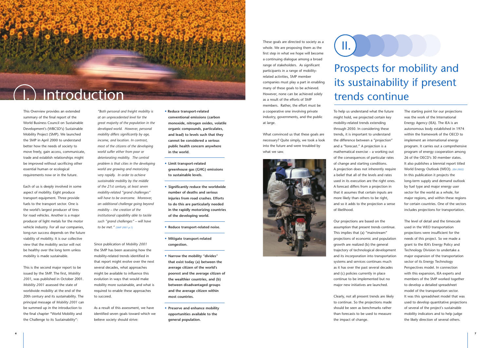These goals are directed to society as a whole. We are proposing them as the first step in what we hope will become a continuing dialogue among a broad range of stakeholders. As significant participants in a range of mobilityrelated activities, SMP member companies must play a part in enabling many of these goals to be achieved. However, none can be achieved solely as a result of the efforts of SMP members. Rather, the effort must be a cooperative one involving private industry, governments, and the public

at large.



What convinced us that these goals are necessary? Quite simply, we took a look into the future and were troubled by what we saw.

To help us understand what the future might hold, we projected certain key mobility-related trends extending through 2050. In considering these trends, it is important to understand the difference between a "projection" and a "forecast." A projection is a mathematical exercise – a working out of the consequences of particular rates of change and starting conditions. A projection does not inherently require a belief that all of the levels and rates used in its execution are the right ones. A forecast differs from a projection in that it assumes that certain inputs are more likely than others to be right, and so it adds to the projection a sense of likelihood.

Our projections are based on the assumption that present trends continue. This implies that (a) "mainstream" projections of economic and population growth are realized (b) the general trajectory of technological development and its incorporation into transportation systems and services continues much as it has over the past several decades and (c) policies currently in place continue to be implemented but no major new initiatives are launched.

Clearly, not all present trends are likely to continue. So the projections made should be seen as benchmarks rather than forecasts to be used to measure the impact of change.

The starting point for our projections was the work of the International Energy Agency (IEA). The IEA is an autonomous body established in 1974 within the framework of the OECD to implement an international energy program. It carries out a comprehensive program of energy cooperation among 26 of the OECD's 30 member states. It also publishes a biennial report titled World Energy Outlook (WEO). *(IEA 2002)* In this publication it projects the long-term supply and demand outlook by fuel type and major energy user sector for the world as a whole, for major regions, and within these regions for certain countries. One of the sectors includes projections for transportation.

The level of detail and the timescale used in the WEO transportation projections were insufficient for the needs of this project. So we made a grant to the IEA's Energy Policy and Technology Division to undertake a major expansion of the transportation sector of its Energy Technology Perspectives model. In connection with this expansion, IEA experts and members of the SMP worked together to develop a detailed spreadsheet model of the transportation sector. It was this spreadsheet model that was used to develop quantitative projections of several of the project's sustainable mobility indicators and to help judge the likely direction of several others.

This Overview provides an extended summary of the final report of the World Business Council on Sustainable Development's (WBCSD's) Sustainable Mobility Project (SMP). We launched the SMP in April 2000 to understand better how the needs of society to move freely, gain access, communicate, trade and establish relationships might be improved without sacrificing other essential human or ecological requirements now or in the future.

Each of us is deeply involved in some aspect of mobility. Eight produce transport equipment. Three provide fuels to the transport sector. One is the world's largest producer of tires for road vehicles. Another is a major producer of light metals for the motor vehicle industry. For all our companies, long-run success depends on the future viability of mobility. It is our collective view that the mobility sector will not be healthy over the long term unless mobility is made sustainable.

This is the second major report to be issued by the SMP. The first, *Mobility 2001*, was published in October 2001. *Mobility 2001* assessed the state of worldwide mobility at the end of the 20th century and its sustainability. The principal message of *Mobility 2001* can be summed up in the introduction to the final chapter "World Mobility and the Challenge to its Sustainability":

*"Both personal and freight mobility is at an unprecedented level for the great majority of the population in the developed world. However, personal mobility differs significantly by age, income, and location. In contrast, most of the citizens of the developing world suffer either from poor or deteriorating mobility. The central problem is that cities in the developing world are growing and motorizing very rapidly. In order to achieve sustainable mobility by the middle of the 21st century, at least seven mobility-related "grand challenges" will have to be overcome. Moreover, an additional challenge going beyond mobility – the creation of the institutional capability able to tackle such "grand challenges" – will have to be met." (SMP 2001 p.1)*

Since publication of *Mobility 2001* the SMP has been assessing how the mobility-related trends identified in that report might evolve over the next several decades, what approaches might be available to influence this evolution in ways that would make mobility more sustainable, and what is required to enable these approaches to succeed.

As a result of this assessment, we have identified seven goals toward which we believe society should strive:

**• Reduce transport-related conventional emissions (carbon monoxide, nitrogen oxides, volatile organic compounds, particulates, and lead) to levels such that they cannot be considered a serious public health concern anywhere in the world.**

- **• Limit transport-related greenhouse gas (GHG) emissions to sustainable levels.**
- **• Significantly reduce the worldwide number of deaths and serious injuries from road crashes. Efforts to do this are particularly needed in the rapidly motorizing countries of the developing world.**
- **• Reduce transport-related noise.**
- **• Mitigate transport-related congestion.**
- **• Narrow the mobility "divides" that exist today (a) between the average citizen of the world's poorest and the average citizen of the wealthier countries, and (b) between disadvantaged groups and the average citizen within most countries.**
- **• Preserve and enhance mobility opportunities available to the general population.**



# Prospects for mobility and its sustainability if present trends continue

II.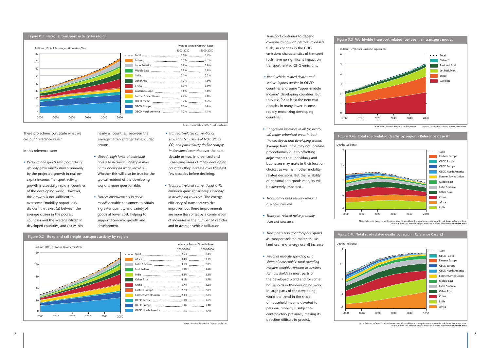Transport continues to depend overwhelmingly on petroleum-based fuels, so changes in the GHG emissions characteristics of transport fuels have no significant impact on transport-related GHG emissions.

- *Road vehicle-related deaths and serious injuries decline* in OECD countries and some "upper-middle income" developing countries. But they rise for at least the next two decades in many lower-income, rapidly motorizing developing countries.
- *Congestion increases in all (or nearly all) major urbanized areas in both the developed and developing worlds.*  Average travel time may not increase proportionally due to offsetting adjustments that individuals and businesses may make in their location choices as well as in other mobilityrelated decisions. But the reliability of personal and goods mobility will be adversely impacted.
- *Transport-related security remains a serious concern.*
- *Transport-related noise probably does not decrease.*
- *Transport's resource "footprint"grows* as transport-related materials use, land use, and energy use all increase.
- *Personal mobility spending as a share of households' total spending remains roughly constant or declines for households* in most parts of the developed world and for some households in the developing world. In large parts of the developing world the trend in the share of household income devoted to personal mobility is subject to contradictory pressures, making its direction difficult to predict.

These projections constitute what we call our "reference case."

In this reference case:



• *Personal and goods transport activity globally grow rapidly* driven primarily by the projected growth in real per capita income. Transport activity growth is especially rapid in countries of the developing world. However, this growth is not sufficient to overcome "mobility opportunity divides" that exist (a) between the average citizen in the poorest countries and the average citizen in developed countries, and (b) within

nearly all countries, between the average citizen and certain excluded groups.

- *Already high levels of individual access to personal mobility in most of the developed world increase.* Whether this will also be true for the typical resident of the developing world is more questionable.
- *Further improvements in goods mobility* enable consumers to obtain a greater quantity and variety of goods at lower cost, helping to support economic growth and development.

• *Transport-related conventional emissions (emissions of NOx, VOCs, CO, and particulates) decline sharply in developed countries* over the next decade or two. In urbanized and urbanizing areas of many developing countries they increase over the next few decades before declining.

• T*ransport-related conventional GHG emissions grow significantly especially in developing countries.* The energy efficiency of transport vehicles improves, but these improvements are more than offset by a combination of increases in the number of vehicles and in average vehicle utilization.









2000 2010 2020 2030 2040 2050

Note: Reference Case #1 and Reference case #2 use different assumptions concerning the risk decay factor over time. Source: Sustainable Mobility Project calculations using data from **Koornstra 2003**

Source: Sustainable Mobility Project calculations.

**8 9**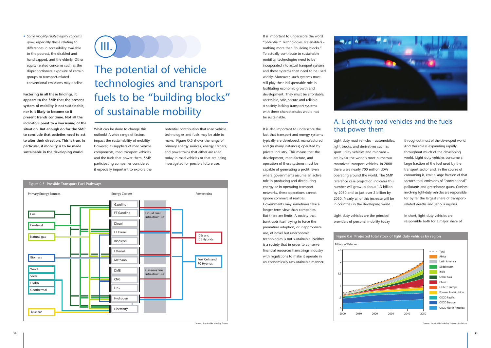It is important to underscore the word "potential." Technologies are enablers nothing more than "building blocks." To actually contribute to sustainable mobility, technologies need to be incorporated into actual transport systems and these systems then need to be used widely. Moreover, such systems must still play their indispensable role in facilitating economic growth and development. They must be affordable, accessible, safe, secure and reliable. A society lacking transport systems with these characteristics would not be sustainable.

It is also important to underscore the fact that transport and energy systems typically are developed, manufactured and (in many instances) operated by private industry. This means that the development, manufacture, and operation of these systems must be capable of generating a profit. Even where governments assume an active role in producing and distributing energy or in operating transport networks, these operations cannot ignore commercial realities. Governments may sometimes take a longer-term view than companies. But there are limits. A society that bankrupts itself trying to force the premature adoption, or inappropriate use, of novel but uneconomic technologies is not sustainable. Neither is a society that in order to conserve financial resources hamstrings industry with regulations to make it operate in an economically unsustainable manner.



Light-duty road vehicles – automobiles, light trucks, and derivatives such as sport utility vehicles and minivans – are by far the world's most numerous motorized transport vehicles. In 2000 there were nearly 700 million LDVs operating around the world. The SMP reference case projection indicates this number will grow to about 1.3 billion by 2030 and to just over 2 billion by 2050. Nearly all of this increase will be in countries in the developing world.

Light-duty vehicles are the principal providers of personal mobility today

throughout most of the developed world. And this role is expanding rapidly throughout much of the developing world. Light-duty vehicles consume a large fraction of the fuel used by the transport sector and, in the course of consuming it, emit a large fraction of that sector's total emissions of "conventional" pollutants and greenhouse gases. Crashes involving light-duty vehicles are responsible for by far the largest share of transportrelated deaths and serious injuries.

In short, light-duty vehicles are responsible both for a major share of

• *Some mobility-related equity concerns grow,* especially those relating to differences in accessibility available to the poorest, the disabled and handicapped, and the elderly. Other equity-related concerns such as the disproportionate exposure of certain groups to transport-related conventional emissions may decline.

**Factoring in all these findings, it appears to the SMP that the present system of mobility is not sustainable, nor is it likely to become so if present trends continue. Not all the indicators point to a worsening of the situation. But enough do for the SMP to conclude that societies need to act to alter their direction. This is true, in particular, if mobility is to be made sustainable in the developing world.**

What can be done to change this outlook? A wide range of factors impact the sustainability of mobility. However, as suppliers of road vehicle components, road transport vehicles and the fuels that power them, SMP participating companies considered it especially important to explore the

potential contribution that road vehicle technologies and fuels may be able to make. Figure O.5 shows the range of primary energy sources, energy carriers, and powertrains that either are used today in road vehicles or that are being investigated for possible future use.

# The potential of vehicle technologies and transport fuels to be "building blocks" of sustainable mobility

III.



## A. Light-duty road vehicles and the fuels that power them



#### Figure 0.6 **Projected total stock of light duty vehicles by region**

Source: Sustainable Mobility Project calculations (Source: Sustainable Mobility Project calculations)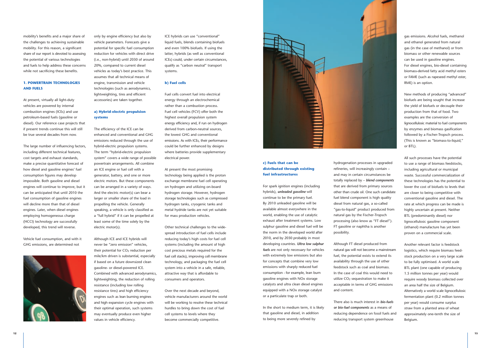### **c) Fuels that can be distributed through existing fuel infrastructures**

For spark ignition engines (including hybrids), *unleaded gasoline* will continue to be the primary fuel. By 2010 unleaded gasoline will be available almost everywhere in the world, enabling the use of catalytic exhaust after treatment systems. Low sulphur gasoline and diesel fuel will be the norm in the developed world after 2010, and by 2030 probably in most developing countries. *Ultra low sulphur fuels* are not only necessary for vehicles with extremely low emissions but also for concepts that combine very low emissions with sharply reduced fuel consumption - for example, lean burn gasoline engines with NOx storage catalysts and ultra clean diesel engines equipped with a NOx storage catalyst or a particulate trap or both.

In the short to medium term, it is likely that gasoline and diesel, in addition to being more severely refined by

hydrogenation processes in upgraded refineries, will increasingly contain – and may in certain circumstances be totally replaced by – *blend components* that are derived from primary sources other than crude oil. One such candidate fuel blend component is high quality diesel from natural gas, a so-called "gas-to-liquid" product produced from natural gas by the Fischer-Tropsch processing (also know as "FT diesel"). FT gasoline or naphtha is another possibility.

Although FT diesel produced from natural gas will not become a mainstream fuel, the potential exists to extend its availability through the use of other feedstock such as coal and biomass. In the case of coal this would need to utilize CO<sub>2</sub> sequestration to make it acceptable in terms of GHG emissions and content.

There also is much interest in *bio-fuels or bio-fuel components* as a means of reducing dependence on fossil fuels and reducing transport system greenhouse

gas emissions. Alcohol fuels, methanol and ethanol generated from natural gas (in the case of methanol) or from biomass or other renewable sources can be used in gasoline engines. For diesel engines, bio-diesel containing biomass-derived fatty acid methyl esters or FAME (such as rapeseed methyl ester, RME) is an option.

New methods of producing "advanced" biofuels are being sought that increase the yield of biofuels or decouple their production from that of food. Two examples are the conversion of lignocellulosic material to fuel components by enzymes and biomass gasification followed by a Fischer-Tropsch process. (This is known as "biomass-to-liquid," or BTL).

All such processes have the potential to use a range of biomass feedstocks, including agricultural or municipal waste. Successful commercialization of these technologies has the potential to lower the cost of biofuels to levels that are closer to being competitive with conventional gasoline and diesel. The rate at which progress can be made is highly uncertain at present. Neither BTL (predominantly diesel) nor lignocellulosic gasoline component (ethanol) manufacture has yet been proven on a commercial scale.

Another relevant factor is feedstock logistics, which require biomass feedstock production on a very large scale to be fully optimised. A world scale BTL plant (one capable of producing 1.5 million tonnes per year) would require woody biomass collected over an area half the size of Belgium. Alternatively a world scale lignocellulosic fermentation plant (0.2 million tonnes per year) would consume surplus straw from a planted area of wheat approximately one-tenth the size of Belgium.

mobility's benefits and a major share of the challenges to achieving sustainable mobility. For this reason, a significant share of our report is devoted to assessing the potential of various technologies and fuels to help address these concerns while not sacrificing these benefits.

#### **1. POWERTRAIN TECHNOLOGIES AND FUELS**

At present, virtually all light-duty vehicles are powered by internal combustion engines (ICEs) and use petroleum-based fuels (gasoline or diesel). Our reference case projects that if present trends continue this will still be true several decades from now.

The large number of influencing factors, including different technical features, cost targets and exhaust standards, make a precise quantitative forecast of how diesel and gasoline engines' fuel consumption figures may develop impossible. Both gasoline and diesel engines will continue to improve, but it can be anticipated that until 2010 the fuel consumption of gasoline engines will decline more than that of diesel engines. Later, when diesel engines employing homogeneous charge (HCCI) technology are successfully developed, this trend will reverse.

Vehicle fuel consumption, and with it GHG emissions, are determined not



only by engine efficiency but also by vehicle parameters. Forecasts give a potential for specific fuel consumption reduction for vehicles with direct drive (i.e., non-hybrid) until 2030 of around 20%, compared to current diesel vehicles as today's best practice. This assumes that all technical means of engine, transmission and vehicle technologies (such as aerodynamics, lightweighting, tires and efficient accessories) are taken together.

### **a) Hybrid-electric propulsion systems**

The efficiency of the ICE can be enhanced and conventional and GHG emissions reduced through the use of hybrid-electric propulsion systems. The term "hybrid-electric propulsion system" covers a wide range of possible powertrain arrangements. All combine an ICE engine or fuel cell with a generator, battery, and one or more electric motors. But these components can be arranged in a variety of ways. And the electric motor(s) can bear a larger or smaller share of the load in propelling the vehicle. Generally speaking, a vehicle is only classified as <sup>a</sup>"full hybrid" if it can be propelled at least some of the time solely by the electric motor(s).

Although ICE and ICE hybrids will never be "zero emission" vehicles, their potential for  $CO<sub>2</sub>$  reduction per mile/km driven is substantial, especially if based on a future downsized clean gasoline- or diesel-powered ICE. Combined with advanced aerodynamics, lightweighting, the reduction of rolling resistance (including low rolling resistance tires) and high efficiency engines such as lean burning engines and high expansion cycle engines with their optimal operation, such systems may eventually produce even higher values in vehicle efficiency.

ICE hybrids can use "conventional" liquid fuels, blends containing biofuels and even 100% biofuels. If using the latter, hybrids (as well as conventional ICEs) could, under certain circumstances, qualify as "carbon neutral" transport systems.

#### **b) Fuel cells**

Fuel cells convert fuel into electrical energy through an electrochemical rather than a combustion process. Fuel cell vehicles (FCV) offer both the highest overall propulsion system energy efficiency and, if run on hydrogen derived from carbon-neutral sources, the lowest GHG and conventional emissions. As with ICEs, their performance could be further enhanced by designs where batteries provide supplementary electrical power.

At present the most promising technology being applied is the proton exchange membrane fuel cell operating on hydrogen and utilizing on-board hydrogen storage. However, hydrogen storage technologies such as compressed hydrogen tanks, cryogenic tanks and metal hydride tanks are not yet suitable for mass production vehicles.

Other technical challenges to the widespread introduction of fuel cells include reducing today's high costs for fuel cell systems (including the amount of high cost precious metals required for the fuel cell stacks), improving cell membrane technology, and packaging the fuel cell system into a vehicle in a safe, reliable, attractive way that is affordable to consumers and operators.

Over the next decade and beyond, vehicle manufacturers around the world will be working to resolve these technical hurdles to bring down the cost of fuel cell systems to levels where they become commercially competitive.

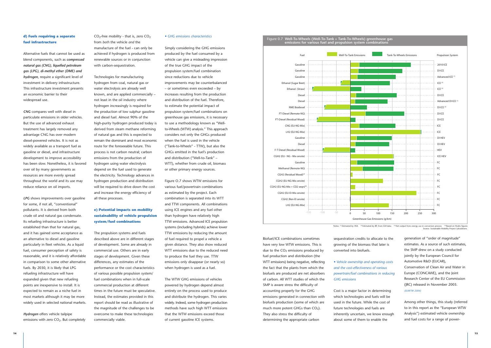Biofuel/ICE combinations sometimes have very low WTW emissions. This is due to the  $CO<sub>2</sub>$  emissions produced by fuel production and distribution (the WTT emissions) being negative, reflecting the fact that the plants from which the biofuels are produced are net absorbers of carbon. All WTT studies of which the SMP is aware stress the difficulty of accounting properly for the GHG emissions generated in connection with biofuels production (some of which are much more potent GHGs than  $CO<sub>2</sub>$ ). They also stress the difficulty of

determining the appropriate carbon

sequestration credits to allocate to the growing of the biomass that later is converted into biofuels.

*• Vehicle ownership and operating costs and the cost-effectiveness of various powertrain/fuel combinations in reducing GHG emissions*

Cost is a major factor in determining which technologies and fuels will be used in the future. While the cost of future technologies and fuels are inherently uncertain, we know enough about some of them to enable the

generation of "order of magnitude" estimates. As a source of such estimates, the SMP drew on a study conducted jointly by the European Council for Automotive R&D (EUCAR), Conservation of Clean Air and Water in Europe (CONCAWE), and the Joint Research Center of the EU Commission (JRC) released in November 2003. *(EUWTW 2004)*

Among other things, this study (referred to in this report as the "European WTW Analysis") estimated vehicle ownership and fuel costs for a range of power-

## **d) Fuels requiring a separate fuel infrastructure**

Alternative fuels that cannot be used as blend components, such as *compressed natural gas (CNG), liquefied petroleum gas (LPG), di-methyl ether (DME) and hydrogen*, require a significant level of investment in delivery infrastructure. This infrastructure investment presents an economic barrier to their widespread use.

*CNG* compares well with diesel in particulate emissions in older vehicles. But the use of advanced exhaust treatment has largely removed any advantage CNG has over modern diesel-powered vehicles. It is not as widely available as a transport fuel as gasoline or diesel, and infrastructure development to improve accessibility has been slow. Nonetheless, it is favored over oil by many governments as resources are more evenly spread throughout the world and its use may reduce reliance on oil imports.

*LPG* shows improvements over gasoline for some, if not all, "conventional" pollutants. It is derived from both crude oil and natural gas condensate. Its refueling infrastructure is better established than that for natural gas, and it has gained some acceptance as an alternative to diesel and gasoline particularly in fleet vehicles. As a liquid fuel, consumer perception of safety is reasonable, and it is relatively affordable in comparison to some other alternative fuels. By 2030, it is likely that LPG refueling infrastructure will have expanded given that new refueling points are inexpensive to install. It is expected to remain as a niche fuel in most markets although it may be more widely used in selected national markets.



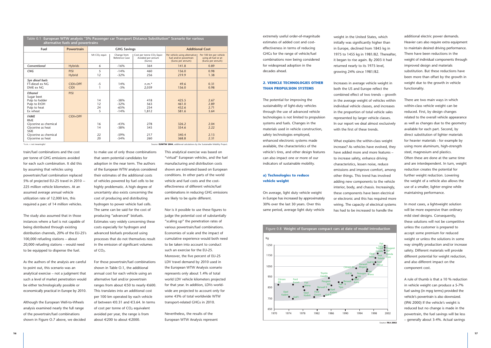extremely useful order-of-magnitude estimates of added cost and costeffectiveness in terms of reducing GHGs for the range of vehicle/fuel combinations now being considered for widespread adoption in the decades ahead.

### **2. VEHICLE TECHNOLOGIES OTHER THAN PROPULSION SYSTEMS**

The potential for improving the sustainability of light-duty vehicles through the use of advanced vehicle technologies is not limited to propulsion systems and fuels. Changes in the materials used in vehicle construction, safety technologies employed, enhanced electronic systems made available, the characteristics of the vehicle's tires, and other design features can also impact one or more of our indicators of sustainable mobility.

#### **a) Technologies to reduce vehicle weight**

On average, light duty vehicle weight in Europe has increased by approximately 30% over the last 30 years. Over this same period, average light duty vehicle

weight in the United States, which initially was significantly higher than in Europe, declined from 1845 kg in 1975 to 1455 kg in 1981/82. Thereafter, it began to rise again. By 2003 it had returned nearly to its 1975 level, growing 24% since 1981/82.

Increases in average vehicle weight in both the US and Europe reflect the combined effect of two trends – growth in the average weight of vehicles within individual vehicle classes, and increases in the proportion of total vehicle sales represented by larger vehicle classes. In our report we deal almost exclusively with the first of these trends.

What explains the within-class weight increase? As vehicles have evolved, they have added more and more features – to increase safety, enhance driving characteristics, lessen noise, reduce emissions and improve comfort, among other things. This trend has involved adding new components to the vehicle interior, body, and chassis. Increasingly, these components have been electrical or electronic and this has required more wiring. The capacity of electrical systems has had to be increased to handle the

additional electric power demands. Heavier cars also require extra equipment to maintain desired driving performance. There have been reductions in the weight of individual components through improved design and materials substitution. But these reductions have been more than offset by the growth in weight due to the growth in vehicle functionality.

to make use of only those combinations that seem potential candidates for adoption in the near term. The authors of the European WTW analysis considered their estimates of the additional costs of vehicles powered by fuel cells to be highly problematic. A high degree of uncertainty also exists concerning the cost of producing and distributing hydrogen to power vehicle fuel cells. The same can be said for the cost of producing "advanced" biofuels. Estimates vary widely concerning these costs especially for hydrogen and advanced biofuels produced using processes that do not themselves result in the emission of significant volumes of CO<sub>2</sub>.

There are two main ways in which within-class vehicle weight can be reduced. First, by design changes related to the overall vehicle appearance as well as changes due to the geometry available for each part. Second, by direct substitution of lighter materials for heavier materials - for example by using more aluminum, high-strength steel, magnesium and plastics. Often these are done at the same time and are interdependent. In turn, weight reduction creates the potential for further weight reduction. Lowering the weight of a vehicle also allows the use of a smaller, lighter engine while maintaining performance.

In most cases, a lightweight solution will be more expensive than ordinary mild steel designs. Consequently, these solutions will not be competitive unless the customer is prepared to accept some premium for reduced weight or unless the solutions in some way simplify production and/or increase safety. Different materials will provide different potential for weight reduction, and also different impact on the component cost.

A rule of thumb is that a 10 % reduction in vehicle weight can produce a 5-7% fuel saving (in mpg terms) provided the vehicle's powertrain is also downsized. (IPAI 2000) If the vehicle's weight is reduced but no change is made in the powertrain, the fuel savings will be less – generally about 3-4%. Actual savings

train/fuel combinations and the cost per tonne of GHG emissions avoided for each such combination. It did this by assuming that vehicles using powertrain/fuel combination replaced 5% of projected EU-25 travel in 2010 -- 225 million vehicle kilometers. At an assumed average annual vehicle utilization rate of 12,000 km, this required a parc of 14 million vehicles.

The study also assumed that in those instances where a fuel is not capable of being distributed through existing distribution channels, 20% of the EU-25's 100,000 refueling stations – about 20,000 refueling stations – would need to be equipped to dispense the fuel.

As the authors of the analysis are careful to point out, this scenario was an analytical exercise – not a judgment that such a level of market penetration would be either technologically possible or economically practical in Europe by 2010.

Although the European Well-to-Wheels analysis examined nearly the full range of the powertrain/fuel combinations shown in Figure O.7 above, we decided For those powertrain/fuel combinations shown in Table O.1, the additional annual cost for each vehicle using an alternative fuel and/or powertrain ranges from about  $\in$  50 to nearly  $\in$  600. This translates into an additional cost per 100 km operated by each vehicle of between €0.31 and €3.64. In terms of cost per tonne of CO<sub>2</sub> equivalent avoided per year, the range is from about €200 to about €2000.

This analytical exercise was based on "virtual" European vehicles, and the fuel manufacturing and distribution costs shown are estimated based on European conditions. In other parts of the world vehicle and fuel costs and the costeffectiveness of different vehicle/fuel combinations in reducing GHG emissions are likely to be quite different.

Nor is it possible to use these figures to judge the potential cost of substantially "scaling up" the penetration rates of various powertrain/fuel combinations. Economies of scale and the impact of cumulative experience would both need to be taken into account to conduct such an exercise for the EU-25. Moreover, the five percent of EU-25 LDV travel demand by 2010 used in the European WTW Analysis scenario represents only about 1.4% of total world LDV vehicle kilometers projected for that year. In addition, LDVs worldwide are projected to account only for some 43% of total worldwide WTW transport-related GHGs in 2010.

Nevertheless, the results of the European WTW Analysis represent



Source: **FKA 2002**

\*n.m. = not meaningful Source: **EUWTW 2004**, additional calculations by the Sustainable Mobility Project.

Table 0.1 **European WTW analysis "5% Passenger car Transport Distance Substitution" Scenario for various alternative fuels and powertrains**

| Fuel                                                                                                                                | <b>Powertrain</b>            | <b>GHG Savings</b>       |                                      |                                                                      | <b>Additional Cost</b>                                                       |                                                                     |
|-------------------------------------------------------------------------------------------------------------------------------------|------------------------------|--------------------------|--------------------------------------|----------------------------------------------------------------------|------------------------------------------------------------------------------|---------------------------------------------------------------------|
|                                                                                                                                     |                              | Mt CO <sub>2</sub> equiv | Change from<br>Reference Case        | Cost per tonne CO <sub>2</sub> Equiv<br>Avoided per annum<br>(Euros) | Per vehicle using alternative<br>fuel and/or powertrain<br>(Euros per annum) | Per 100 km per vehicle<br>using alt fuel or pt<br>(Euros per annum) |
| Conventional                                                                                                                        | <b>Hybrids</b>               | 6                        | $-16%$                               | 364                                                                  | 141.8                                                                        | 0.89                                                                |
| <b>CNG</b>                                                                                                                          | <b>PISI</b><br><b>Hybrid</b> | 5<br>12                  | $-14%$<br>$-32%$                     | 460<br>256                                                           | 156.0<br>219.9                                                               | 0.98<br>1.38                                                        |
| Syn diesel fuels<br>FT-diesel ex NG<br>DME ex NG                                                                                    | CIDI+DPF<br><b>CIDI</b>      | $-5$                     | 14%<br>$-3%$                         | $n.m.*$<br>2,039                                                     | 49.6<br>156.0                                                                | 0.31<br>0.98                                                        |
| Ethanol<br>Sugar beet<br>Pulp to fodder<br>Pulp to EtOH<br>Pulp to heat<br>Ex wheat                                                 | <b>PISI</b>                  | 14<br>12<br>24<br>5      | $-38%$<br>$-32%$<br>$-65%$<br>$-14%$ | 418<br>563<br>254<br>1,812                                           | 425.5<br>461.0<br>432.6<br>581.6                                             | 2.67<br>2.89<br>2.71<br>3.64                                        |
| <b>FAME</b><br><b>RME</b><br>Glycerine as chemical<br>Glycerine as heat<br><b>SME</b><br>Glycerine as chemical<br>Glycerine as heat | CIDI+DPF                     | 16<br>14<br>22<br>20     | $-43%$<br>$-38%$<br>$-59%$<br>$-54%$ | 278<br>345<br>217<br>260                                             | 326.2<br>354.6<br>340.4<br>368.8                                             | 2.04<br>2.22<br>2.13<br>2.31                                        |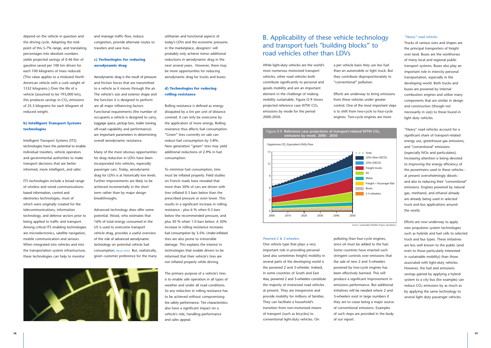While light-duty vehicles are the world's most numerous motorized transport vehicles, other road vehicles both contribute significantly to personal and goods mobility and are an important element in the challenge of making mobility sustainable. Figure O.9 shows projected reference case WTW CO<sub>2</sub> emissions by mode for the period 2000-2050.

#### *Powered 2 & 3-wheelers.*

One vehicle type that plays a very important role in providing personal (and also sometimes freight) mobility in several parts of the developing world is the powered 2 and 3-wheeler. Indeed, in some countries of South and East Asia, powered 2 and 3-wheelers constitute the majority of motorized road vehicles at present. They are inexpensive and provide mobility for millions of families. They can facilitate a household's transition from non-motorized means of transport (such as bicycles) to conventional light-duty vehicles. On

a per vehicle basis they use less fuel than an automobile or light truck. But they contribute disproportionately to "conventional" pollution.

Efforts are underway to bring emissions from these vehicles under greater control. One of the most important steps is to shift from two-cycle to four-cycle engines. Two-cycle engines are more

polluting than four-cycle engines, since oil must be added to the fuel. Some countries have enacted such stringent controls over emissions that the sale of new 2 and 3-wheelers powered by two-cycle engines has been effectively banned. This will produce a significant improvement in emissions performance. But additional initiatives will be needed where 2 and 3-wheelers exist in large numbers if they are to cease being a major source of conventional emissions. Examples of such steps are provided in the body of our report.



LDVs (Non-OECD) LDVs (OECD)

#### *"Heavy" road vehicles.*

Trucks of various sizes and shapes are the principal transporters of freight over land. Buses are the workhorses of many local and regional public transport systems. Buses also play an important role in intercity personal transportation, especially in the developing world. Both trucks and buses are powered by internal combustion engines and utilize many components that are similar in design and construction (though not necessarily in size) to those found in light duty vehicles.

"Heavy" road vehicles account for a significant share of transport-related energy use, greenhouse gas emissions, and "conventional" emissions (especially NOx and particulates). Increasing attention is being devoted to improving the energy efficiency of the powertrains used in these vehicles at present overwhelmingly diesels and also to reducing their "conventional" emissions. Engines powered by natural gas, methanol, and ethanol already are already being used in selected truck and bus applications around the world.

Efforts are now underway to apply new propulsion system technologies such as hybrids and fuel cells to selected truck and bus types. These initiatives are less well known to the public (and even to those particularly interested in sustainable mobility) than those associated with light-duty vehicles. However, the fuel and emissions savings gained by applying a hybrid system to a city bus (for example) can reduce  $CO<sub>2</sub>$  emissions by as much as by applying the same technology to several light duty passenger vehicles.

depend on the vehicle in question and the driving cycle. Adopting the midpoint of this 5-7% range, and translating percentages into absolute numbers yields projected savings of 0.46 liter of gasoline saved per 100 km driven for each 100 kilograms of mass reduced. (This value applies to a midsized North American vehicle with a curb weight of 1532 kilograms.) Over the life of a vehicle (assumed to be 193,000 km), this produces savings in  $CO<sub>2</sub>$  emissions of 25.3 kilograms for each kilogram of reduced weight.

### **b) Intelligent Transport Systems technologies**

Freight + Passenger Rail  $\overline{\phantom{a}}$  2-3 wheelers

Intelligent Transport Systems (ITS) technologies have the potential to enable individual travelers, vehicle operators and governmental authorities to make transport decisions that are better informed, more intelligent, and safer.

ITS technologies include a broad range of wireless and wired communicationsbased information, control and electronics technologies, most of which were originally created for the telecommunications, information technology, and defense sectors prior to being applied to traffic and transport. Among critical ITS enabling technologies are microelectronics, satellite navigation, mobile communication and sensors. When integrated into vehicles and into the transportation system infrastructure, these technologies can help to monitor

and manage traffic flow, reduce congestion, provide alternate routes to travelers and save lives.

### **c) Technologies for reducing aerodynamic drag**

Aerodynamic drag is the result of pressure and friction forces that are transmitted to a vehicle as it moves through the air. The vehicle's size and exterior shape and the function it is designed to perform are all major influencing factors. Functional requirements (the number of occupants a vehicle is designed to carry, luggage space, pickup box, trailer towing, off-road capability and performance) are important parameters in determining overall aerodynamic resistance.

Many of the most obvious opportunities for drag reduction in LDVs have been incorporated into vehicles, especially passenger cars. Today, aerodynamic drag for LDVs is at historically low levels. Further improvements are likely to be achieved incrementally in the short term rather than by major design breakthroughs.

Advanced technology does offer some potential. Wood, who estimates that 16% of total energy consumed in the US is used to overcome transport vehicle drag, provides a useful overview of the role of advanced aerodynamic technology on potential vehicle fuel consumption.*(Wood 2004)* But, realistically, given customer preference for the many

utilitarian and functional aspects of today's LDVs and the economic pressures in the marketplace, designers' will probably only achieve minor additional reductions in aerodynamic drag in the next several years. However, there may be more opportunities for reducing aerodynamic drag for trucks and buses.

### **d) Technologies for reducing rolling resistance**

Rolling resistance is defined as energy dissipated by a tire per unit of distance covered. It can only be overcome by the application of more energy. Rolling resistance thus affects fuel consumption. "Green" tires currently on sale can reduce fuel consumption by 3-8%. New generation "green" tires may yield additional reductions of 2-9% in fuel consumption.

To minimize fuel consumption, tires must be inflated properly. Field studies on French roads have revealed that more than 50% of cars are driven with tires inflated 0.3 bars below than the prescribed pressure or even lower. This results in a significant increase in rolling resistance - plus 6 % when 0.3 bars below the recommended pressure, and plus 30 % when 1.0 bars below. A 30% increase in rolling resistance increases fuel consumption by 3-5%. Under-inflated tires are also prone to irreversible damage. This explains the interest in technologies that enable drivers to be informed that their vehicle's tires are not inflated properly while driving.

The primary purpose of a vehicle's tires is to enable safe operation in all types of weather and under all road conditions. So any reduction in rolling resistance has to be achieved without compromising tire safety performance. Tire characteristics also have a significant impact on a vehicle's ride, handling performance and sales appeal.

## B. Applicability of these vehicle technology and transport fuels "building blocks" to road vehicles other than LDVs





Source: Sustainable Mobility Project calculations.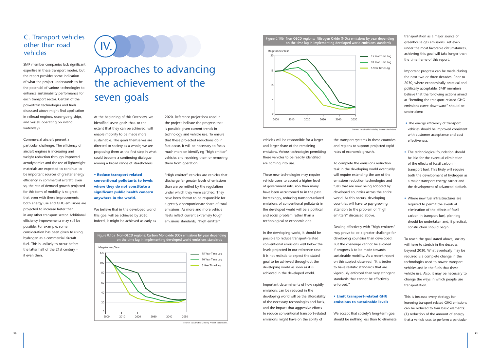vehicles will be responsible for a larger and larger share of the remaining emissions. Various technologies permitting these vehicles to be readily identified are coming into use.

These new technologies may require vehicle users to accept a higher level of government intrusion than many have been accustomed to in the past. Increasingly, reducing transport-related emissions of conventional pollutants in the developed world will be a political and social problem rather than a technological or economic one.

In the developing world, it should be possible to reduce transport-related conventional emissions well below the levels projected in our reference case. It is not realistic to expect the stated goal to be achieved throughout the developing world as soon as it is achieved in the developed world.

Important determinants of how rapidly emissions can be reduced in the developing world will be the affordability of the necessary technologies and fuels, and the impact that aggressive efforts to reduce conventional transport-related emissions might have on the ability of

the transport systems in these countries and regions to support projected rapid rates of economic growth.

To complete the emissions reduction task in the developing world eventually will require extending the use of the emissions reduction technologies and fuels that are now being adopted by developed countries across the entire world. As this occurs, developing countries will have to pay growing attention to the problem of "high emitters" discussed above.

Dealing effectively with "high emitters" may prove to be a greater challenge for developing countries than developed. But the challenge cannot be avoided if progress is to be made towards sustainable mobility. As a recent report on this subject observed: "It is better to have realistic standards that are vigorously enforced than very stringent standards that cannot be effectively enforced."

### **• Limit transport-related GHG emissions to sustainable levels**

We accept that society's long-term goal should be nothing less than to eliminate transportation as a major source of greenhouse gas emissions. Yet even under the most favorable circumstances, achieving this goal will take longer than the time frame of this report.

Important progress can be made during the next two or three decades. Prior to 2030, where economically practical and politically acceptable, SMP members believe that the following actions aimed at "bending the transport-related GHG emissions curve downward" should be undertaken:

- The energy efficiency of transport vehicles should be improved consistent with customer acceptance and costeffectiveness.
- The technological foundation should be laid for the eventual elimination of the effects of fossil carbon in transport fuel. This likely will require both the development of hydrogen as a major transport energy carrier and the development of advanced biofuels.
- Where new fuel infrastructures are required to permit the eventual elimination of the effects of fossil carbon in transport fuel, planning should be undertaken and, if practical, construction should begin.

To reach the goal stated above, society will have to stretch in the decades beyond 2030. What eventually may be required is a complete change in the technologies used to power transport vehicles and in the fuels that these vehicle use. Also, it may be necessary to change the ways in which people use transportation.

This is because every strategy for lessening transport-related GHG emissions can be reduced to four basic elements: (1) reduction of the amount of energy that a vehicle uses to perform a particular

SMP member companies lack significant expertise in these transport modes, but the report provides some indication of what the project understands to be the potential of various technologies to enhance sustainability performance for each transport sector. Certain of the powertrain technologies and fuels discussed above might find application in railroad engines, oceangoing ships, and vessels operating on inland waterways.

Commercial aircraft present a particular challenge. The efficiency of aircraft engines is increasing and weight reduction through improved aerodynamics and the use of lightweight materials are expected to continue to be important sources of greater energy efficiency in commercial aircraft. Even so, the rate of demand growth projected for this form of mobility is so great that even with these improvements both energy use and GHG emissions are projected to increase faster than in any other transport sector. Additional efficiency improvements may still be possible. For example, some consideration has been given to using hydrogen as a commercial aircraft fuel. This is unlikely to occur before the latter half of the 21st century – if even then.

At the beginning of this Overview, we identified seven goals that, to the extent that they can be achieved, will enable mobility to be made more sustainable. The goals themselves are directed to society as a whole; we are proposing them as the first step in what could become a continuing dialogue among a broad range of stakeholders.

**• Reduce transport-related conventional pollutants to levels where they do not constitute a significant public health concern anywhere in the world.**

We believe that in the developed world this goal will be achieved by 2030. Indeed, it might be achieved as early as

2020. Reference projections used in the project indicate the progress that is possible given current trends in technology and vehicle use. To ensure that these projected reductions do in fact occur, it will be necessary to focus much more on identifying "high emitter" vehicles and repairing them or removing them from operation.

"High emitter" vehicles are vehicles that discharge far greater levels of emissions than are permitted by the regulations under which they were certified. They have been shown to be responsible for a greatly disproportionate share of total emissions. As more and more vehicle fleets reflect current extremely tough emissions standards, "high emitter"

## C. Transport vehicles other than road vehicles

# Approaches to advancing the achievement of the seven goals

IV.





5 Year Time Lag 10 Year Time Lag 15 Year Time Lag



Source: Sustainable Mobility Project calculations.

Source: Sustainable Mobility Project calculations.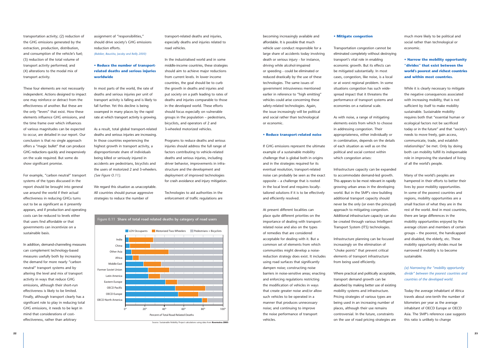becoming increasingly available and affordable. It is possible that much vehicle user conduct responsible for a large share of accidents today involving death or serious injury - for instance, driving while alcohol-impaired or speeding - could be eliminated or reduced drastically by the use of these technologies. The same issues of government intrusiveness mentioned earlier in reference to "high emitting" vehicles could arise concerning these safety-related technologies. Again, the issue increasingly will be political and social rather than technological or economic.

#### **• Reduce transport-related noise**

If GHG emissions represent the ultimate example of a sustainable mobility challenge that is global both in origins and in the strategies required for its eventual resolution, transport-related noise can probably be seen as the exact opposite – a challenge that is rooted in the local level and requires locallytailored solutions if it is to be effectively and efficiently resolved.

At present different localities can place quite different priorities on the importance of dealing with transportrelated noise and also on the types of remedies that are considered acceptable for dealing with it. But a common set of elements from which communities might develop a noisereduction strategy does exist. It includes using road surfaces that significantly dampen noise; constructing noise barriers in noise-sensitive areas; enacting and enforcing regulations restricting the modification of vehicles in ways that create greater noise and/or allow such vehicles to be operated in a manner that produces unnecessary noise; and continuing to improve the noise performance of transport vehicles.

#### **• Mitigate congestion**

Transportation congestion cannot be eliminated completely without destroying transport's vital role in enabling economic growth. But its effects can be mitigated substantially. In most cases, congestion, like noise, is a local or at worst regional problem. In some situations congestion has such widespread impact that it threatens the performance of transport systems and economies on a national scale.

As with noise, a range of mitigating elements exists from which to choose in addressing congestion. Their appropriateness, either individually or in combination, depends on the details of each situation as well as on the political and social context within which congestion arises:

Infrastructure capacity can be expanded to accommodate demand-led growth. This appears to be most relevant in rapidly growing urban areas in the developing world. But in the SMP's view building additional transport capacity should never be the only (or even the principal) approach to mitigating congestion. Additional infrastructure capacity can also be created through various Intelligent Transport System (ITS) technologies.

Infrastructure planning can be focused increasingly on the elimination of "choke points" that prevent critical elements of transport infrastructure from being used efficiently.

Where practical and politically acceptable, transport demand growth can be absorbed by making better use of existing mobility systems and infrastructure. Pricing strategies of various types are being used in an increasing number of places, although their use remains controversial. In the future, constraints on the use of road pricing strategies are

much more likely to be political and social rather than technological or economic.

## **• Narrow the mobility opportunity "divides" that exist between the world's poorest and richest countries and within most countries.**

While it is clearly necessary to mitigate the negative consequences associated with increasing mobility, that is not sufficient by itself to make mobility sustainable. Sustainable mobility requires both that "essential human or ecological factors not be sacrificed today or in the future" and that "society's needs to move freely, gain access, communicate, trade, and establish relationships" be met. Only by doing both can mobility fulfill its indispensable role in improving the standard of living of all the world's people.

Many of the world's peoples are hampered in their efforts to better their lives by poor mobility opportunities. In some of the poorest countries and regions, mobility opportunities are a small fraction of what they are in the rest of the world. And in most countries, there are large differences in the mobility opportunities enjoyed by the average citizen and members of certain groups – the poorest, the handicapped and disabled, the elderly, etc. These mobility opportunity divides must be narrowed if mobility is to become sustainable.

*(a) Narrowing the "mobility opportunity divide" between the poorest countries and countries of the developed world.*

Today the average inhabitant of Africa travels about one-tenth the number of kilometers per year as the average inhabitant of OECD Europe or OECD Asia. The SMP's reference case suggests this ratio is unlikely to change

transportation activity; (2) reduction of the GHG emissions generated by the extraction, production, distribution, and consumption of the vehicle's fuel; (3) reduction of the total volume of transport activity performed; and (4) alterations to the modal mix of transport activity.

These four elements are not necessarily independent. Actions designed to impact one may reinforce or detract from the effectiveness of another. But these are the only "levers" that exist. How these elements influence GHG emissions, and the time frame over which influences of various magnitudes can be expected to occur, are detailed in our report. Our conclusion is that no single approach offers a "magic bullet" that can produce GHG reductions quickly and inexpensively on the scale required. But some do show significant promise.

For example, "carbon neutral" transport systems of the types discussed in the report should be brought into general use around the world if their actual effectiveness in reducing GHGs turns out to be as significant as it presently appears, and if production and operating costs can be reduced to levels either that users find affordable or that governments can incentivize on a sustainable basis.

In addition, demand-channeling measures can complement technology-based measures usefully both by increasing the demand for more nearly "carbon neutral" transport systems and by altering the level and mix of transport activity in ways that reduce GHG emissions, although their short-run effectiveness is likely to be limited. Finally, although transport clearly has a significant role to play in reducing total GHG emissions, it needs to be kept in mind that considerations of costeffectiveness, rather than arbitrary

assignment of "responsibilities," should drive society's GHG emissions reduction efforts.

*(Babiker, Baustita, Jacoby and Reilly 2000)*

### **• Reduce the number of transportrelated deaths and serious injuries worldwide**

In most parts of the world, the rate of deaths and serious injuries per unit of transport activity is falling and is likely to fall further. Yet this decline is being swamped in many places by the rapid rate at which transport activity is growing.

As a result, total global transport-related deaths and serious injuries are increasing. In those countries experiencing the highest growth in transport activity, a disproportionate share of individuals being killed or seriously injured in accidents are pedestrians, bicyclists and the users of motorized 2 and 3-wheelers. *(See Figure O.11).*

We regard this situation as unacceptable. All countries should pursue aggressive strategies to reduce the number of



In the industrialised world and in some middle-income countries, these strategies should aim to achieve major reductions from current levels. In lower income countries, the goal should be to curb the growth in deaths and injuries and put society on a path leading to rates of deaths and injuries comparable to those in the developed world. These efforts should focus especially on vulnerable groups in the population – pedestrians, bicyclists, and operators of 2 and 3-wheeled motorized vehicles.

Programs to reduce deaths and serious injuries should address the full range of factors contributing to vehicle-related deaths and serious injuries, including driver behavior, improvements in infrastructure and the development and deployment of improved technologies for crash avoidance and injury mitigation.

Technologies to aid authorities in the enforcement of traffic regulations are



Source: Sustainable Mobility Project calculations using data from **Koornstra 2003**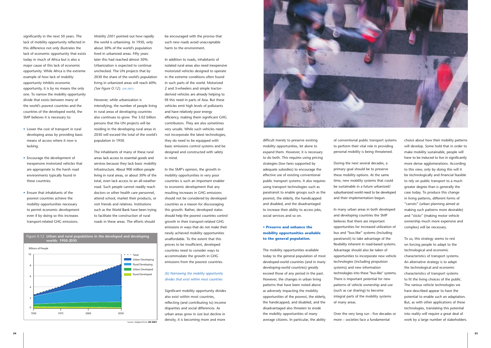difficult merely to preserve existing mobility opportunities, let alone to expand them. However, it is necessary to do both. This requires using pricing strategies (low fares supported by adequate subsidies) to encourage the effective use of existing conventional public transport systems. It also requires using transport technologies such as paratransit to enable groups such as the poorest, the elderly, the handicapped and disabled, and the disadvantaged to increase their ability to access jobs, social services and so on.

### **• Preserve and enhance the mobility opportunities available to the general population.**

The mobility opportunities available today to the general population of most developed-world countries (and in many developing-world countries) greatly exceed those of any period in the past. However, the changes in urban living patterns that have been noted above as adversely impacting the mobility opportunities of the poorest, the elderly, the handicapped, and disabled, and the disadvantaged also threaten to erode the mobility opportunities of many average citizens. In particular, the ability

of conventional public transport systems to perform their vital role in providing personal mobility is being threatened.

During the next several decades, a primary goal should be to preserve these mobility options. At the same time, new mobility systems that could be sustainable in a future urbanized/ suburbanized world need to be developed and their implementation begun.

In many urban areas in both developed and developing countries the SMP believes that there are important opportunities for increased utilization of bus and "bus-like" systems (including paratransit) to take advantage of the flexibility inherent in road-based systems. Advantage should also be taken of opportunities to incorporate new vehicle technologies (including propulsion systems) and new information technologies into these "bus-like" systems. There is important potential for new patterns of vehicle ownership and use (such as car sharing) to become integral parts of the mobility systems of many areas.

Over the very long run - five decades or more – societies face a fundamental

choice about how their mobility patterns will develop. Some hold that in order to make mobility sustainable, people will have to be induced to live in significantly more dense agglomerations. According to this view, only by doing this will it be technologically and financial feasible to rely on public transport to a much greater degree than is generally the case today. To produce this change in living patterns, different forms of "carrots" (urban planning aimed at making such patterns more desirable) and "sticks" (making motor vehicle ownership much more expensive and complex) will be necessary.

To us, this strategy seems to rest on forcing people to adapt to the technological and economic characteristics of transport systems. An alternative strategy is to adapt the technological and economic characteristics of transport systems to fit the living choices of the public. The various vehicle technologies we have described appear to have the potential to enable such an adaptation. But, as with other applications of these technologies, translating this potential into reality will require a great deal of work by a large number of stakeholders.

significantly in the next 50 years. The lack of mobility opportunity reflected in this difference not only illustrates the lack of economic opportunity that exists today in much of Africa but is also a major cause of this lack of economic opportunity. While Africa is the extreme example of how lack of mobility opportunity inhibits economic opportunity, it is by no means the only one. To narrow the mobility opportunity divide that exists between many of the world's poorest countries and the countries of the developed world, the SMP believes it is necessary to:

- Lower the cost of transport in rural developing areas by providing basic means of access where it now is lacking.
- Encourage the development of inexpensive motorized vehicles that are appropriate to the harsh road environments typically found in these countries.
- Ensure that inhabitants of the poorest countries achieve the mobility opportunities necessary to permit economic development even if by doing so this increases transport-related GHG emissions.

*Mobility 2001* pointed out how rapidly the world is urbanizing. In 1950, only about 30% of the world's population lived in urbanized areas. Fifty years later this had reached almost 50%. Urbanization is expected to continue unchecked. The UN projects that by 2030 the share of the world's population living in urbanized areas will reach 60%. *(See Figure O.12). (UN 2001)*

However, while urbanization is intensifying, the number of people living in rural areas of developing countries also continues to grow. The 3.02 billion persons that the UN projects will be residing in the developing rural areas in 2030 will exceed the total of the world's population in 1950.

The inhabitants of many of these rural areas lack access to essential goods and services because they lack basic mobility infrastructure. About 900 million people living in rural areas, or about 30% of the total, even lack access to an all-weather road. Such people cannot readily reach doctors or other health care personnel, attend school, market their products, or visit friends and relatives. Institutions such as the World Bank have been trying to facilitate the construction of rural roads in these areas. The efforts should

be encouraged with the proviso that such new roads avoid unacceptable harm to the environment.

In addition to roads, inhabitants of isolated rural areas also need inexpensive motorized vehicles designed to operate in the extreme conditions often found in such parts of the world. Motorized 2 and 3-wheelers and simple tractorderived vehicles are already helping to fill this need in parts of Asia. But these vehicles emit high levels of pollutants and have relatively poor energy efficiency, making them significant GHG contributors. They are also sometimes very unsafe. While such vehicles need not incorporate the latest technologies, they do need to be equipped with basic emissions control systems and be designed and constructed with safety in mind.

In the SMP's opinion, the growth in mobility opportunities in very poor countries is such an important enabler to economic development that any resulting increases in GHG emissions should not be considered by developed countries as a reason for discouraging this growth. Rather, developed states should help the poorest countries control growth in their transport-related GHG emissions in ways that do not make their newly achieved mobility opportunities unaffordable. To the extent that this proves to be insufficient, developed countries need to consider ways to accommodate the growth in GHG emissions from the poorest countries.

#### *(b) Narrowing the mobility opportunity divides that exist within most countries*

Significant mobility opportunity divides also exist within most countries, reflecting (and contributing to) income disparities and social differences. As urban areas grow in size but decline in density, it is becoming more and more



1950 1975 2000 2030





Source: Adapted from **UN 2001**

 $\Omega$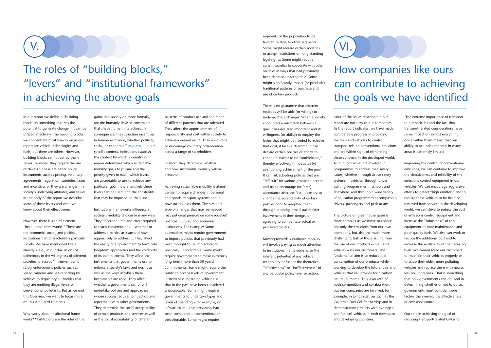segments of the population to be favored relative to other segments. Some might require certain societies to accept restrictions on long-standing legal rights. Some might require certain societies to cooperate with other societies in ways that had previously been deemed unacceptable. Some might significantly impact (or preclude) traditional patterns of purchase and use of certain products.

There is no guarantee that different societies will be able (or willing) to undergo these changes. When a society encounters a mismatch between a goal it has declared important and its willingness (or ability) to employ the levers that might be needed to achieve that goal, it faces a dilemma. It can declare certain policies or efforts to change behavior to be "unthinkable," thereby effectively (if not actually) abandoning achievement of the goal. It can risk adopting policies that are "difficult" for various groups to accept and try to encourage (or force) acceptance after the fact. It can try to change the acceptability of certain policies prior to adopting them through publicity, broad stakeholder involvement in their design, or agreeing to compensate actual or perceived "losers."

Moving towards sustainable mobility will involve paying as much attention to institutional frameworks as to the inherent potential of any vehicle technology or fuel or the theoretical "effectiveness" or "ineffectiveness" of any particular policy lever or action.

Most of the issues described in our report are not new to our companies. As the report indicates, we have made considerable progress in providing the fuels and vehicles to control transport-related conventional emissions and are within sight of eliminating these concerns in the developed world. All our companies are involved in programmes to address road safety issues, whether through active safety systems in vehicles, through driver training programmes in schools and elsewhere, and through a wide variety of education programmes encompassing drivers, passengers and pedestrians.

The picture on greenhouse gases is more complex as we move to reduce not only the emissions from our own operations, but also the much more challenging task of those arising from the use of our products -- fuels and vehicles -- by our customers. The fundamental aim is to reduce fuel consumption of our products while working to develop the future fuels and vehicles that will provide for a carbon neutral outcome. This is an area of both competition and collaboration, but our companies are involved, for example, in joint initiatives such as the California Fuel Cell Partnership and in demonstration projects with hydrogen and fuel cell vehicles in both developed and developing countries.

The extreme importance of transport to our societies and the fact that transport-related considerations have some impact on almost everything done within them means that our ability to act independently in many areas is extremely limited.

Regarding the control of conventional emissions, we can continue to improve the effectiveness and reliability of the emissions control equipment in our vehicles. We can encourage aggressive efforts to detect "high emitters" and to require these vehicles to be fixed or removed from service. In the developing world, we can strive to reduce the cost of emissions control equipment and increase the "robustness" of this equipment to poor maintenance and poor quality fuels. We also can work to reduce the additional cost and to increase the availability of the necessary fuels. We cannot force our customers to maintain their vehicles properly or to scrap their older, more polluting vehicles and replace them with newer, less polluting ones. That is something that only governments can do. And in determining whether or not to do so, governments must consider more factors than merely the effectiveness of emissions control.

Our role in achieving the goal of reducing transport-related GHGs to

In our report we define a "building block" as something that has the potential to generate change if it can be utilized effectively. The building blocks we concentrate most heavily on in our report are vehicle technologies and fuels, but there are others. However, building blocks cannot act by themselves. To move, they require the use of "levers." These are either policy instruments such as pricing, voluntary agreements, regulation, subsidies, taxes and incentives or they are changes in a society's underlying attitudes, and values. In the body of the report we describe some of these levers and what we know about their effectiveness.

However, there is a third element - "institutional frameworks." These are the economic, social, and political institutions that characterize a particular society. We have mentioned these already – e.g., in our discussions of differences in the willingness of different societies to accept "intrusive" traffic safety enforcement policies such as speed cameras and self-reporting by vehicles to regulatory authorities that they are emitting illegal levels of conventional pollutants. But as we end this Overview, we want to focus more on this vital third elements.

Why worry about institutional frameworks? "Institutions are the rules of the game in a society or, more formally, are the humanly devised constraints that shape human interaction... In consequence, they structure incentives in human exchange, whether political, social, or economic." *(North 1990)*. In our specific context, institutions establish the context by which a country or region determines which sustainable mobility goals to pursue and the priority given to each; which levers are acceptable to use to achieve any particular goal; how intensively these levers can be used; and the constraints that may be imposed on their use.

Institutional frameworks influence a society's mobility choices in many ways: They affect the time and effort required to reach consensus about whether to address a particular issue and how aggressively to address it. They affect the ability of a government to formulate long-term approaches and the credibility of its commitments. They affect the instruments that governments use to enforce a society's laws and norms as well as the ways in which these instruments are used. They affect whether a government can or will undertake policies and approaches whose success requires joint action and agreement with other governments. They determine the social acceptability of certain products and services as well as the social acceptability of different

patterns of product use and the range of different patterns that are tolerated. They affect the apportionment of responsibility and cost within society to achieve a desired result. They encourage or discourage voluntary collaboration across a range of stakeholders.

In short, they determine whether and how sustainable mobility will be achieved.

Achieving sustainable mobility is almost certain to require changes in personal and goods transport systems and in how society uses them. The size and type of changes that may be needed may put great pressure on some societies' political, cultural, and economic institutions. For example: Some approaches might require governments to impose policies that previously had been thought to be impractical or politically unacceptable. Some might require governments to make extremely long-term (more than 50 years) commitments. Some might require the public to accept levels of government intrusiveness regarding vehicle use that in the past have been considered unacceptable. Some might require governments to undertake types and levels of spending – for example, on infrastructure – that previously had been considered unconventional or objectionable. Some might require

## The roles of "building blocks," "levers" and "institutional frameworks" in achieving the above goals

V.

# How companies like ours can contribute to achieving the goals we have identified

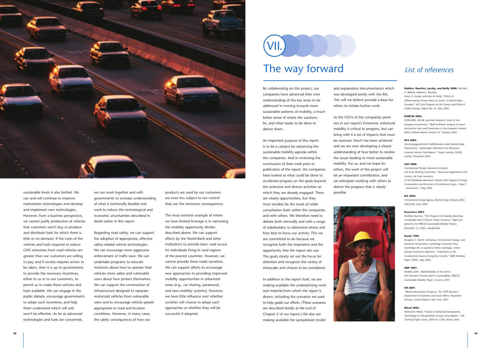we can work together and with governments to increase understanding of what is technically feasible and work to reduce the technological and economic uncertainties described in detail earlier in this report.

Regarding road safety, we can support the adoption of appropriate, effective safety-related vehicle technologies. We can encourage more aggressive enforcement of traffic laws. We can undertake programs to educate motorists about how to operate their vehicles more safely and vulnerable users about how protect themselves. We can support the construction of infrastructure designed to separate motorized vehicles from vulnerable users and to encourage vehicle speeds appropriate to road and location conditions. However, in many cases, the safety consequences of how our

products are used by our customers are even less subject to our control than are the emissions consequences.

The most extreme example of where we have limited leverage is in narrowing the mobility opportunity divides described above. We can support efforts by the World Bank and other institutions to provide basic road access for individuals living in rural regions of the poorest countries. However, we cannot provide these roads ourselves. We can support efforts to encourage new approaches to providing improved mobility opportunities in urbanized areas (e.g., car sharing, paratransit, and new mobility systems). However, we have little influence over whether societies will choose to adopt such approaches or whether they will be successful if adopted.

By collaborating on this project, our companies have advanced their own understanding of the key areas to be addressed in moving towards more sustainable patterns of mobility, a much better sense of where the solutions lie, and what needs to be done to deliver them.

An important purpose of this report is to be a catalyst for advancing the sustainable mobility agenda within the companies. And in reviewing the conclusions of their work prior to publication of the report, the companies have looked at what could be done to accelerate progress on the goals beyond the extensive and diverse activities on which they are already engaged. There are clearly opportunities, but they must sensibly be the result of wider consultation both within the companies and with others. We therefore need to debate both internally and with a range of stakeholders to determine where and how best to focus our activity. This we are committed to do because we recognize both the imperative and the opportunity that the report sets out. The goals clearly set out the focus for attention and recognize the variety of timescales and choices to be considered.

In addition to the report itself, we are making available the underpinning work and material from which the report is drawn, including the scenarios we used to help guide our efforts. (These scenarios are described briefly at the end of Chapter 2 of our report.) We also are making available the spreadsheet model

and explanatory documentation which was developed jointly with the IEA. This will we believe provide a basis for others to initiate further work.

As the CEO's of the companies point out in our report's Foreword, enhanced mobility is critical to progress, but can bring with it a set of impacts that must be resolved. Much has been achieved and we are now developing a clearer understanding of how better to resolve the issues leading to more sustainable mobility. For us, and we hope for others, the work of this project will be an important contribution, and we anticipate working with others to deliver the progress that is clearly possible.



#### **Babiker, Bautista, Jacoby, and Reilly 2000.** *Mustafa H. Babiker, Melanie E. Bautista,*

*Henry D. Jacoby, and John M. Reilly, "Effects of Differentiating Climate Policy by Sector: A United States Example," MIT Joint Program on the Science and Policy of Global Change, Report No. 61, May 2000.*

#### **EUWTW 2004.**

*CONCAWE, EUCAR, and Joint Research Center of the European Commission, "Well-To-Wheels Analysis of Future Automotive Fuels and Powertrains in the European Context: Well to Wheels Report, Version 1b," January 2004.*

#### **FKA 2002.**

*Forschungsgesellschaft Kraftfharwesen mbH Aachen Body Department, "Lightweight Potential of an Aluminu Intensive Vehicle: Final Report," Project number 24020, Aachen, December 2002.* 

#### **IAPI 2000.**

*International Primary Aluminum Institute, Life Cycle Working Committee, "Aluminum Applications and Society, Life Cycle Inventory of the Worldwide Aluminum Industry With Regard to Energy Consumption and Emissions of Greenhouse Gases – Paper 1 – Automotive," May 2000.*

#### **IEA 2002.**

*International Energy Agency, World Energy Outlook 2002, OECD/IEA, Paris 2002.*

#### **Koornstra 2003.**

*Matthijs Koorstra, "The Prospects for Mobility Becoming Sustainable-Safe if Present Trends Continue," Paper prepared for the WBCSD Sustainable Mobility Project, December 15, 2003, unpublished.*

#### **North 1990.**

*Douglass C. North, Institutions, Institutional Change, and Economic Performance, Cambridge University Press, Cambridge UK, as quoted in Daron Acemoglu, Simon Johnson and James Robinson, "Institutions as the Fundamental Cause of Long-Run Growth," NBER Working Paper 10481, May 2004.* 

#### **SMP 2001.**

*Mobility 2001: World Mobility at the End of the Twentieth Century and its Sustainability, WBCSD Sustainable Mobility Project, Geneva, 2001.*

#### **UN 2001.**

*"World Urbanization Prospects: The 1999 Revision," Department of Economic and Social Affairs, Population Division, United Nations, New York, 2001.*

#### **Wood 2004.**

*Richard M. Wood, "Impact of Advanced Aerodynamic Technology on Transportation Energy Consumption," SAE Technical Paper Series, 2004-01-1306, March 2004.* 



sustainable levels is also limited. We can and will continue to improve mainstream technologies and develop and implement new technologies. However, from a business perspective, we cannot justify production of vehicles that customers won't buy or produce and distribute fuels for which there is little or no demand. If the costs of the vehicles and fuels required to reduce GHG emissions from road vehicles are greater than our customers are willing to pay, and if society requires action to be taken, then it is up to governments to provide the necessary incentives, either to us or to our customers, to permit us to make these vehicles and fuels available. We can engage in the public debate, encourage governments to adopt such incentives, and help them understand which will and won't be effective. As far as advanced technologies and fuels are concerned,

# The way forward VII.

## *List of references*

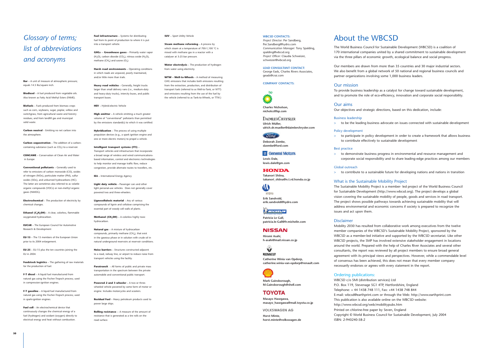## *Glossary of terms; list of abbreviations and acronyms*

**Bar** – A unit of measure of atmospheric pressure: equals 14.5 lbs/square inch.

**Biodiesel** – A fuel produced from vegetable oils. Also known as Fatty Acid Methyl Esters (FAME).

**Carbon neutral** – Emitting no net carbon into the atmosphere.

**Carbon sequestration** – The addition of a carboncontaining substance (such as  $CO<sub>2</sub>$ ) to a reservoir.

**Biofuels** – Fuels produced from biomass crops such as corn, soybeans, sugar, poplar, willow and switchgrass; from agricultural waste and forestry residues; and from landfill gas and municipal solid waste.

**Ethanol (C<sub>2</sub>H<sub>z</sub>OH)** – A clear, colorless, flammable oxygenated hydrocarbon.

**CONCAWE** – Conservation of Clean Air and Water in Europe

**Conventional pollutants** – Generally used to refer to emissions of carbon monoxide (CO), oxides of nitrogen (NOx), particulate matter (PM), sulfur oxides (SOx), and unburned hydrocarbons (HC). The latter are sometimes also referred to as volatile organic compounds (VOCs) or non-methyl organic gases (NMOG).

**GHGs -- Greenhouse gases** – Primarily water vapor (H<sub>2</sub>O), carbon dioxide (CO<sub>2</sub>), nitrous oxide (N<sub>2</sub>O), methane  $(CH<sub>4</sub>)$  and ozone  $(O<sub>3</sub>)$ .

**Electrochemical** – The production of electricity by chemical changes.

**Harsh road environments** – Operating conditions in which roads are unpaved, poorly maintained, and/or little more than trails.

**EUCAR** – The European Council for Automotive Research & Development

**EU-15** – The 15 members of the European Union prior to its 2004 enlargement.

**EU-25** – EU-15 plus the ten countries joining the EU in 2004.

**High emitter** – A vehicle emitting a much greater volume of "conventional" pollutants than permitted by the emissions standard(s) to which it was certified.

**Feedstock logistics** – The gathering of raw materials for the production of fuel.

Transport vehicles and infrastructure that incorporate a broad range of wireless and wired communicationsbased information, control and electronics technologies to help monitor and manage traffic flow, reduce congestion, provide alternate routes to travellers, etc.

**F-T diesel** – A liquid fuel manufactured from natural gas using the Fischer-Tropsch process; used in compression-ignition engines.

**F-T gasoline** – A liquid fuel manufactured from natural gas using the Fischer-Tropsch process; used in spark-ignition engines.

**Lignocellulosic material** – Any of various compounds of lignin and cellulose comprising the essential part of woody cell walls of plants.

**Methanol (CH<sub>3</sub>OH)** – A colorless highly toxic hydrocarbon.

**Fuel cell** – An electrochemical device that continuously changes the chemical energy of a fuel (hydrogen) and oxidant (oxygen) directly to electrical energy and heat without combustion.

**Fuel infrastructure** – Systems for distributing fuel from its point of production to where it is put into a transport vehicle.

**Powered 2 and 3 wheeler** – A two or threewheeled vehicle powered by some form of motor or engine. Includes motorcycles and scooters.

**Steam methane reforming** – A process by which steam at a temperature of 700-1,100 °C is mixed with methane gas in a reactor with a catalyser at 3-25 bar pressure.

**Heavy road vehicles** – Generally, freight trucks larger than small delivery vans (i.e., medium-duty and heavy-duty trucks), intercity buses, and public transport buses.

**HEV** – Hybrid-electric Vehicle

**Hybridization** – The process of using multiple propulsion devices (e.g., a spark ignition engine and one or more electric motors) to propel a vehicle.

**Intelligent transport systems (ITS)** –

**IEA** – International Energy Agency

**Light duty vehicle** – Passenger cars and other light personal-use vehicles. Does not generally cover powered two and three-wheelers.

**Natural gas** – A mixture of hydrocarbon compounds, primarily methane (CH4), that exist in the gaseous phase or in solution with crude oil in natural underground reservoirs at reservoir conditions.

**Noise barriers** – Structures constructed adjacent to a road, railway line, or airport to reduce noise from transport vehicles using the facility.

**Paratransit** – All forms of public and private mass transportation in the spectrum between the private automobile and conventional public transport.

**Residual Fuel** – Heavy petroleum products used to power large ships.

**DAIMLERCHRYSLER Ulrich Müller, ulrich.dr.mueller@daimlerchrysler.com**

### (Ford)

**Rolling resistance** -- A measure of the amount of resistance that is generated as a tire rolls on the road surface.

 $\mathbf{\omega}$ HYDRO **Erik Sandvold, erik.sandvold@hydro.com**

**WICHELIN Patricia Le Gall,** 

#### **NISSAN Hiromi Asahi,**

#### **SUV** – Sport Utility Vehicle

**RENAULT Catherine Winia van Opdorp, catherine.winia-van-opdorp@renault.com**



♦

**VOLKSWAGEN AG Horst Minte, horst.minte@volkswagen.de**

**Water electrolysis** – The production of hydrogen from water using electricity.

**WTW – Well-to-Wheels** – A method of measuring GHG emissions that includes both emissions resulting from the extraction, production, and distribution of transport fuels (referred to as Well-to-Tank, or WTT) and emissions resulting from the use of the fuel by the vehicle (referred to as Tank-to-Wheels, or TTW.)

## About the WBCSD

The World Business Council for Sustainable Development (WBCSD) is a coalition of 170 international companies united by a shared commitment to sustainable development via the three pillars of economic growth, ecological balance and social progress.

Our members are drawn from more than 35 countries and 30 major industrial sectors. We also benefit from a global network of 50 national and regional business councils and partner organizations involving some 1,000 business leaders.

### Our mission

To provide business leadership as a catalyst for change toward sustainable development, and to promote the role of eco-efficiency, innovation and corporate social responsibility.

Our aims

Our objectives and strategic directions, based on this dedication, include:

Business leadership

<sup>&</sup>gt; to be the leading business advocate on issues connected with sustainable development

#### Policy development

<sup>&</sup>gt; to participate in policy development in order to create a framework that allows business to contribute effectively to sustainable development

#### Best practice

<sup>&</sup>gt; to demonstrate business progress in environmental and resource management and corporate social responsibility and to share leading-edge practices among our members

#### Global outreach

<sup>&</sup>gt; to contribute to a sustainable future for developing nations and nations in transition

#### What is the Sustainable Mobility Project

The Sustainable Mobility Project is a member- led project of the World Business Council for Sustainable Development (http://www.wbcsd.org). The project develops a global vision covering the sustainable mobility of people, goods and services in road transport. The project shows possible pathways towards achieving sustainable mobility that will address environmental and economic concerns if society is prepared to recognize the issues and act upon them.

#### Disclaimer

Mobility 2030 has resulted from collaborative work among executives from the twelve member companies of the WBCSD's Sustainable Mobility Project, sponsored by the WBCSD as a member-led initiative and supported by the WBCSD secretariat. Like other WBCSD projects, the SMP has involved extensive stakeholder engagement in locations around the world. Prepared with the help of Charles River Associates and several other consultants, the report was reviewed by all project members to ensure broad general agreement with its principal views and perspectives. However, while a commendable level of consensus has been achieved, this does not mean that every member company necessarily endorses or agrees with every statement in the report.

#### Ordering publications:

WBCSD c/o SMI (distribution services) Ltd P.O. Box 119, Stevenage SG1 4TP, Hertfordshire, England Telephone: + 44 1438 748 111, Fax: +44 1438 748 844 E-mail: wbcsd@earthprint.com or through the Web: http://www.earthprint.com This publication is also available online on the WBCSD website: http://www.wbcsd.org/web/mobilitypubs.htm Printed on chlorine-free paper by Seven, England Copyright © World Business Council for Sustainable Development, July 2004 ISBN: 2-940240-58-2

**WBCSD CONTACTS:** *Project Director:* Per Sandberg,

Per.Sandberg@hydro.com *Communication Manager:* Tony Spalding, spalding@wbcsd.org *Project Officer:* Claudia Schweizer, schweizer@wbcsd.org

**LEAD CONSULTANT CONTACT:** George Eads, Charles Rivers Associates, geads@crai.com

#### **COMPANY CONTACTS:**



**Charles Nicholson,** 

**nicholcc@bp.com**

**Deborah Zemke, dzemke@ford.com**

**GM** General Motors.

**Lewis Dale, lewis.dale@gm.com**

#### **HONDA**

**Takanori Shiina, takanori\_shiina@n.t.rd.honda.co.jp**

**patricia.le-Gall@fr.michelin.com**

**h-asahi@mail.nissan.co.jp**

**Mark Gainsborough, M.Gainsborough@shell.com**

### **TOYOTA**

**Masayo Hasegawa, masayo\_hasegawa@mail.toyota.co.jp**